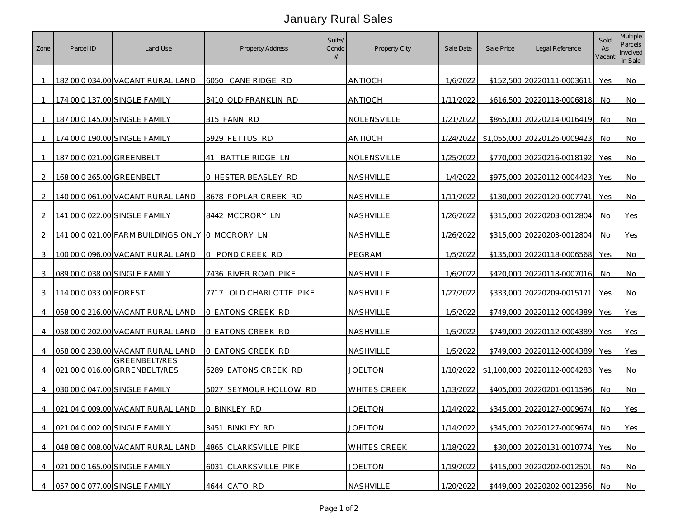## January Rural Sales

| Zone           | Parcel ID                 | Land Use                                         | <b>Property Address</b> | Suite/<br>Condo | Property City       | Sale Date | Sale Price | Legal Reference                        | Sold<br>As<br>Vacant | <b>Multiple</b><br>Parcels<br>Involved<br>in Sale |
|----------------|---------------------------|--------------------------------------------------|-------------------------|-----------------|---------------------|-----------|------------|----------------------------------------|----------------------|---------------------------------------------------|
|                |                           | 182 00 0 034.00 VACANT RURAL LAND                | 6050 CANE RIDGE RD      |                 | <b>ANTIOCH</b>      | 1/6/2022  |            | \$152,500 20220111-0003611             | Yes                  | No                                                |
| $\mathbf{1}$   |                           | 174 00 0 137.00 SINGLE FAMILY                    | 3410 OLD FRANKLIN RD    |                 | <b>ANTIOCH</b>      | 1/11/2022 |            | \$616,500 20220118-0006818             | No.                  | No                                                |
|                |                           | 187 00 0 145.00 SINGLE FAMILY                    | 315 FANN RD             |                 | NOLENSVILLE         | 1/21/2022 |            | \$865,000 20220214-0016419             | No                   | No                                                |
|                |                           | 174 00 0 190.00 SINGLE FAMILY                    | 5929 PETTUS RD          |                 | <b>ANTIOCH</b>      | 1/24/2022 |            | \$1,055,000 20220126-0009423           | No                   | No                                                |
| -1             | 187 00 0 021.00 GREENBELT |                                                  | 41 BATTLE RIDGE LN      |                 | NOLENSVILLE         | 1/25/2022 |            | \$770,000 20220216-0018192             | Yes                  | No                                                |
| 2              | 168 00 0 265.00 GREENBELT |                                                  | 0 HESTER BEASLEY RD     |                 | NASHVILLE           | 1/4/2022  |            | \$975,000 20220112-0004423             | Yes                  | No                                                |
| $\mathcal{L}$  |                           | 140 00 0 061.00 VACANT RURAL LAND                | 8678 POPLAR CREEK RD    |                 | NASHVILLE           | 1/11/2022 |            | \$130,000 20220120-0007741             | Yes                  | No                                                |
| 2              |                           | 141 00 0 022.00 SINGLE FAMILY                    | 8442 MCCRORY LN         |                 | NASHVILLE           | 1/26/2022 |            | \$315,000 20220203-0012804             | No.                  | Yes                                               |
| $\mathcal{L}$  |                           | 141 00 0 021.00 FARM BUILDINGS ONLY 0 MCCRORY LN |                         |                 | NASHVILLE           | 1/26/2022 |            | \$315,000 20220203-0012804             | No.                  | Yes                                               |
| 3              |                           | 100 00 0 096.00 VACANT RURAL LAND                | 0 POND CREEK RD         |                 | PEGRAM              | 1/5/2022  |            | \$135,000 20220118-0006568             | Yes                  | No                                                |
| 3              |                           | 089 00 0 038.00 SINGLE FAMILY                    | 7436 RIVER ROAD PIKE    |                 | NASHVILLE           | 1/6/2022  |            | \$420,000 20220118-0007016             | No                   | No                                                |
| 3              | 114 00 0 033.00 FOREST    |                                                  | 7717 OLD CHARLOTTE PIKE |                 | <b>NASHVILLE</b>    | 1/27/2022 |            | \$333,000 20220209-0015171             | Yes                  | No                                                |
| $\overline{4}$ |                           | 058 00 0 216.00 VACANT RURAL LAND                | O EATONS CREEK RD       |                 | NASHVILLE           | 1/5/2022  |            | \$749,000 20220112-0004389             | Yes                  | <b>Yes</b>                                        |
| $\overline{4}$ |                           | 058 00 0 202.00 VACANT RURAL LAND                | 0 EATONS CREEK RD       |                 | NASHVILLE           | 1/5/2022  |            | \$749,000 20220112-0004389             | Yes                  | Yes                                               |
| $\overline{4}$ |                           | 058 00 0 238.00 VACANT RURAL LAND                | O EATONS CREEK RD       |                 | NASHVILLE           | 1/5/2022  |            | \$749,000 20220112-0004389             | Yes                  | <b>Yes</b>                                        |
| 4              |                           | GREENBELT/RES<br>021 00 0 016.00 GRRENBELT/RES   | 6289 EATONS CREEK RD    |                 | <b>JOELTON</b>      |           |            | 1/10/2022 \$1,100,000 20220112-0004283 | Yes                  | No.                                               |
|                |                           | 030 00 0 047.00 SINGLE FAMILY                    | 5027 SEYMOUR HOLLOW RD  |                 | <b>WHITES CREEK</b> | 1/13/2022 |            | \$405,000 20220201-0011596             | No.                  | No                                                |
| 4              |                           | 021 04 0 009.00 VACANT RURAL LAND                | O BINKLEY RD            |                 | <b>JOELTON</b>      | 1/14/2022 |            | \$345,000 20220127-0009674             | No                   | Yes                                               |
| $\overline{4}$ |                           | 021 04 0 002.00 SINGLE FAMILY                    | 3451 BINKLEY RD         |                 | <b>JOELTON</b>      | 1/14/2022 |            | \$345,000 20220127-0009674             | No.                  | Yes                                               |
| $\overline{4}$ |                           | 048 08 0 008.00 VACANT RURAL LAND                | 4865 CLARKSVILLE PIKE   |                 | WHITES CREEK        | 1/18/2022 |            | \$30,000 20220131-0010774              | Yes                  | No                                                |
| 4              |                           | 021 00 0 165.00 SINGLE FAMILY                    | 6031 CLARKSVILLE PIKE   |                 | <b>JOELTON</b>      | 1/19/2022 |            | \$415,000 20220202-0012501             | No.                  | No                                                |
| 4              |                           | 057 00 0 077.00 SINGLE FAMILY                    | 4644 CATO RD            |                 | NASHVILLE           | 1/20/2022 |            | \$449,000 20220202-0012356             | No                   | No                                                |